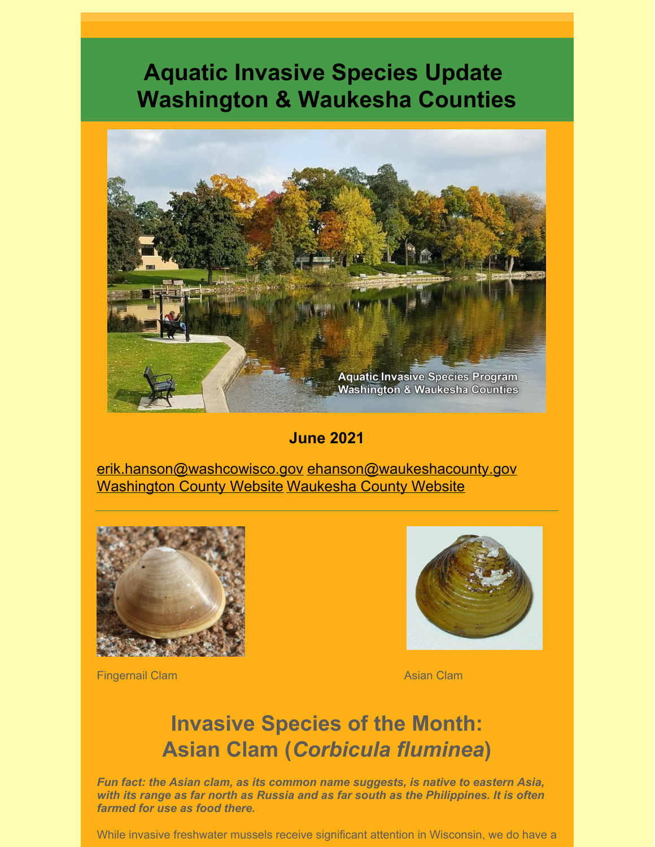# **Aquatic Invasive Species Update Washington & Waukesha Counties**



**June 2021**

erik.hanson@washcowisco.gov ehanson@waukeshacounty.gov Washington County Website Waukesha County Website



Fingernail Clam Asian Clam Asian Clam



## **Invasive Species of the Month: Asian Clam (***Corbicula fluminea***)**

*Fun fact: the Asian clam, as its common name suggests, is native to eastern Asia, with its range as far north as Russia and as far south as the Philippines. It is often farmed for use as food there.*

While invasive freshwater mussels receive significant attention in Wisconsin, we do have a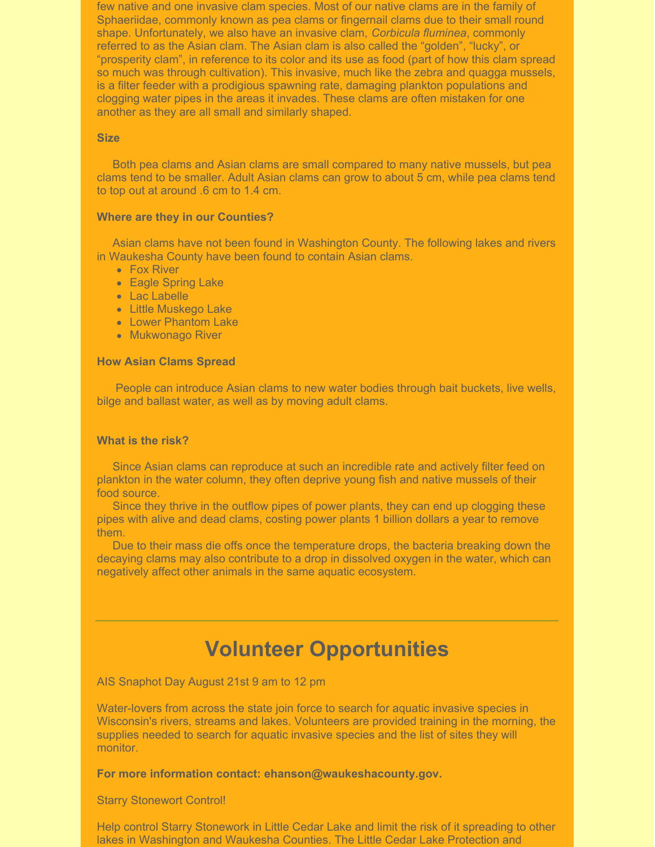few native and one invasive clam species. Most of our native clams are in the family of Sphaeriidae, commonly known as pea clams or fingernail clams due to their small round shape. Unfortunately, we also have an invasive clam, *Corbicula fluminea*, commonly referred to as the Asian clam. The Asian clam is also called the "golden", "lucky", or "prosperity clam", in reference to its color and its use as food (part of how this clam spread so much was through cultivation). This invasive, much like the zebra and quagga mussels, is a filter feeder with a prodigious spawning rate, damaging plankton populations and clogging water pipes in the areas it invades. These clams are often mistaken for one another as they are all small and similarly shaped.

#### **Size**

Both pea clams and Asian clams are small compared to many native mussels, but pea clams tend to be smaller. Adult Asian clams can grow to about 5 cm, while pea clams tend to top out at around .6 cm to 1.4 cm.

#### **Where are they in our Counties?**

Asian clams have not been found in Washington County. The following lakes and rivers in Waukesha County have been found to contain Asian clams.

- Fox River
- **Eagle Spring Lake**
- Lac Labelle
- Little Muskego Lake
- Lower Phantom Lake
- Mukwonago River

#### **How Asian Clams Spread**

People can introduce Asian clams to new water bodies through bait buckets, live wells, bilge and ballast water, as well as by moving adult clams.

#### **What is the risk?**

Since Asian clams can reproduce at such an incredible rate and actively filter feed on plankton in the water column, they often deprive young fish and native mussels of their food source.

Since they thrive in the outflow pipes of power plants, they can end up clogging these pipes with alive and dead clams, costing power plants 1 billion dollars a year to remove them.

Due to their mass die offs once the temperature drops, the bacteria breaking down the decaying clams may also contribute to a drop in dissolved oxygen in the water, which can negatively affect other animals in the same aquatic ecosystem.

### **Volunteer Opportunities**

AIS Snaphot Day August 21st 9 am to 12 pm

Water-lovers from across the state join force to search for aquatic invasive species in Wisconsin's rivers, streams and lakes. Volunteers are provided training in the morning, the supplies needed to search for aquatic invasive species and the list of sites they will monitor.

**For more information contact: ehanson@waukeshacounty.gov.**

#### Starry Stonewort Control!

Help control Starry Stonework in Little Cedar Lake and limit the risk of it spreading to other lakes in Washington and Waukesha Counties. The Little Cedar Lake Protection and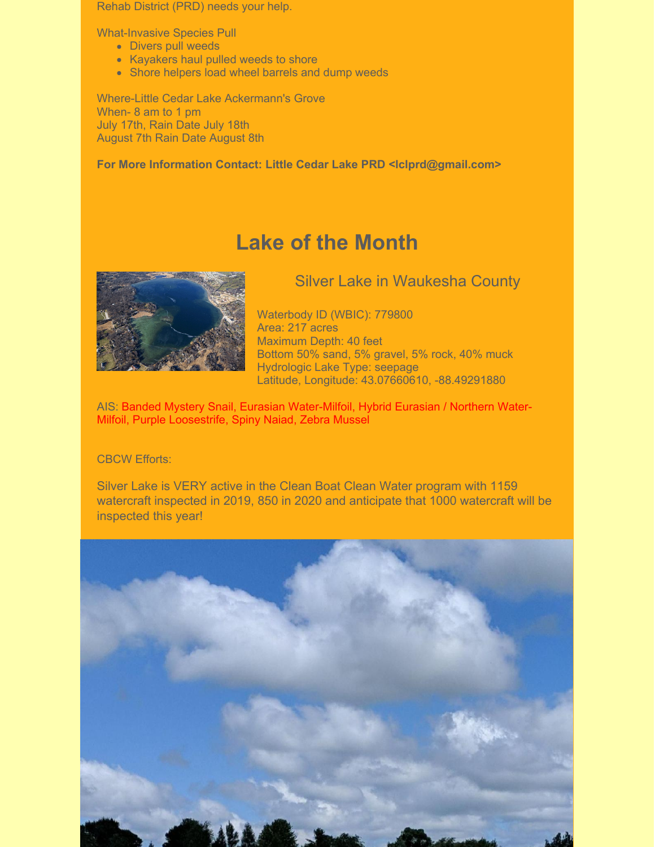Rehab District (PRD) needs your help.

What-Invasive Species Pull

- Divers pull weeds
- Kayakers haul pulled weeds to shore
- Shore helpers load wheel barrels and dump weeds

Where-Little Cedar Lake Ackermann's Grove When- 8 am to 1 pm July 17th, Rain Date July 18th August 7th Rain Date August 8th

**For More Information Contact: Little Cedar Lake PRD <lclprd@gmail.com>**

### **Lake of the Month**



Silver Lake in Waukesha County

Waterbody ID (WBIC): 779800 Area: 217 acres Maximum Depth: 40 feet Bottom 50% sand, 5% gravel, 5% rock, 40% muck Hydrologic Lake Type: seepage Latitude, Longitude: 43.07660610, -88.49291880

AIS: Banded Mystery Snail, Eurasian Water-Milfoil, Hybrid Eurasian / Northern Water-Milfoil, Purple Loosestrife, Spiny Naiad, Zebra Mussel

### CBCW Efforts:

Silver Lake is VERY active in the Clean Boat Clean Water program with 1159 watercraft inspected in 2019, 850 in 2020 and anticipate that 1000 watercraft will be inspected this year!

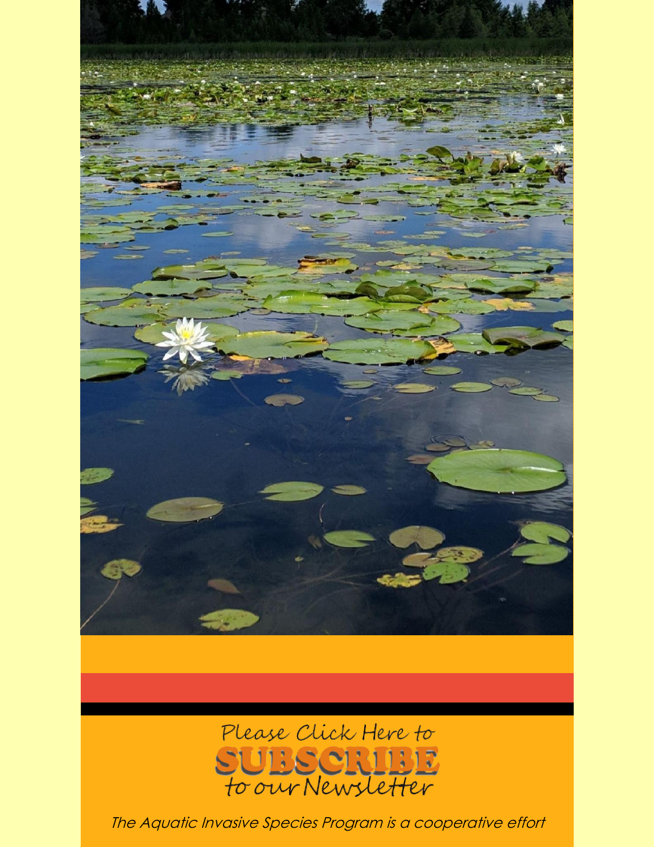



The Aquatic Invasive Species Program is <sup>a</sup> cooperative effort